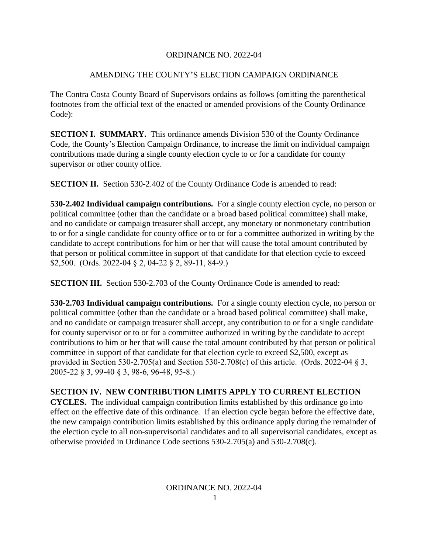## ORDINANCE NO. 2022-04

## AMENDING THE COUNTY'S ELECTION CAMPAIGN ORDINANCE

The Contra Costa County Board of Supervisors ordains as follows (omitting the parenthetical footnotes from the official text of the enacted or amended provisions of the County Ordinance Code):

**SECTION I. SUMMARY.** This ordinance amends Division 530 of the County Ordinance Code, the County's Election Campaign Ordinance, to increase the limit on individual campaign contributions made during a single county election cycle to or for a candidate for county supervisor or other county office.

**SECTION II.** Section 530-2.402 of the County Ordinance Code is amended to read:

**530-2.402 Individual campaign contributions.** For a single county election cycle, no person or political committee (other than the candidate or a broad based political committee) shall make, and no candidate or campaign treasurer shall accept, any monetary or nonmonetary contribution to or for a single candidate for county office or to or for a committee authorized in writing by the candidate to accept contributions for him or her that will cause the total amount contributed by that person or political committee in support of that candidate for that election cycle to exceed \$2,500. (Ords. 2022-04 § 2, 04-22 § 2, 89-11, 84-9.)

**SECTION III.** Section 530-2.703 of the County Ordinance Code is amended to read:

**530-2.703 Individual campaign contributions.** For a single county election cycle, no person or political committee (other than the candidate or a broad based political committee) shall make, and no candidate or campaign treasurer shall accept, any contribution to or for a single candidate for county supervisor or to or for a committee authorized in writing by the candidate to accept contributions to him or her that will cause the total amount contributed by that person or political committee in support of that candidate for that election cycle to exceed \$2,500, except as provided in Section 530-2.705(a) and Section 530-2.708(c) of this article. (Ords. 2022-04  $\S$ 3, 2005-22 § 3, 99-40 § 3, 98-6, 96-48, 95-8.)

## **SECTION IV. NEW CONTRIBUTION LIMITS APPLY TO CURRENT ELECTION**

**CYCLES.** The individual campaign contribution limits established by this ordinance go into effect on the effective date of this ordinance. If an election cycle began before the effective date, the new campaign contribution limits established by this ordinance apply during the remainder of the election cycle to all non-supervisorial candidates and to all supervisorial candidates, except as otherwise provided in Ordinance Code sections 530-2.705(a) and 530-2.708(c).